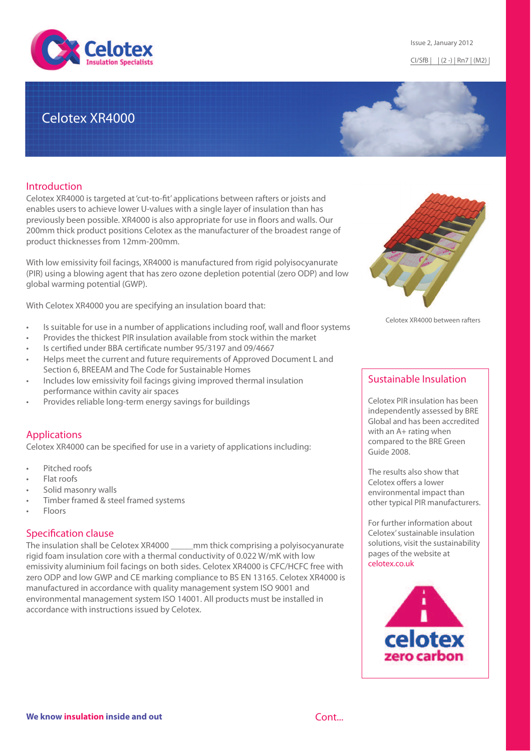

# Celotex XR4000

### **Introduction**

Celotex XR4000 is targeted at 'cut-to-fit' applications between rafters or joists and enables users to achieve lower U-values with a single layer of insulation than has previously been possible. XR4000 is also appropriate for use in floors and walls. Our 200mm thick product positions Celotex as the manufacturer of the broadest range of product thicknesses from 12mm-200mm.

With low emissivity foil facings, XR4000 is manufactured from rigid polyisocyanurate (PIR) using a blowing agent that has zero ozone depletion potential (zero ODP) and low global warming potential (GWP).

With Celotex XR4000 you are specifying an insulation board that:

- Is suitable for use in a number of applications including roof, wall and floor systems
- Provides the thickest PIR insulation available from stock within the market
- Is certified under BBA certificate number 95/3197 and 09/4667
- Helps meet the current and future requirements of Approved Document L and Section 6, BREEAM and The Code for Sustainable Homes
- Includes low emissivity foil facings giving improved thermal insulation performance within cavity air spaces
- Provides reliable long-term energy savings for buildings

### Applications

Celotex XR4000 can be specified for use in a variety of applications including:

- Pitched roofs
- Flat roofs
- Solid masonry walls
- Timber framed & steel framed systems
- Floors

### Specification clause

The insulation shall be Celotex XR4000 \_\_\_\_\_mm thick comprising a polyisocyanurate rigid foam insulation core with a thermal conductivity of 0.022 W/mK with low emissivity aluminium foil facings on both sides. Celotex XR4000 is CFC/HCFC free with zero ODP and low GWP and CE marking compliance to BS EN 13165. Celotex XR4000 is manufactured in accordance with quality management system ISO 9001 and environmental management system ISO 14001. All products must be installed in accordance with instructions issued by Celotex.



Celotex XR4000 between rafters

### Sustainable Insulation

Celotex PIR insulation has been independently assessed by BRE Global and has been accredited with an A+ rating when compared to the BRE Green Guide 2008.

The results also show that Celotex offers a lower environmental impact than other typical PIR manufacturers.

For further information about Celotex' sustainable insulation solutions, visit the sustainability pages of the website at [celotex.co.uk](http://www.celotex.co.uk/)